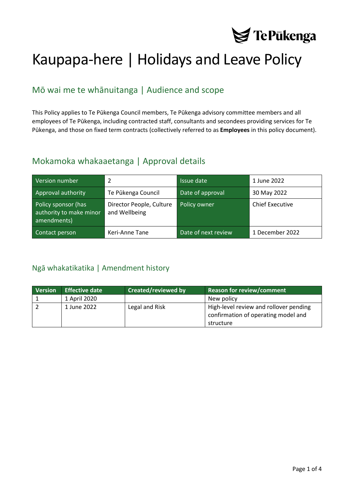

# Kaupapa-here | Holidays and Leave Policy

# Mō wai me te whānuitanga | Audience and scope

This Policy applies to Te Pūkenga Council members, Te Pūkenga advisory committee members and all employees of Te Pūkenga, including contracted staff, consultants and secondees providing services for Te Pūkenga, and those on fixed term contracts (collectively referred to as **Employees** in this policy document).

## Mokamoka whakaaetanga | Approval details

| Version number                                                | 2                                         | Issue date          | 1 June 2022            |
|---------------------------------------------------------------|-------------------------------------------|---------------------|------------------------|
| Approval authority                                            | Te Pūkenga Council                        | Date of approval    | 30 May 2022            |
| Policy sponsor (has<br>authority to make minor<br>amendments) | Director People, Culture<br>and Wellbeing | Policy owner        | <b>Chief Executive</b> |
| Contact person                                                | Keri-Anne Tane                            | Date of next review | 1 December 2022        |

## <span id="page-0-0"></span>Ngā whakatikatika | Amendment history

| <b>Version</b> | <b>Effective date</b> | <b>Created/reviewed by</b> | Reason for review/comment                                                     |
|----------------|-----------------------|----------------------------|-------------------------------------------------------------------------------|
|                | 1 April 2020          |                            | New policy                                                                    |
|                | 1 June 2022           | Legal and Risk             | High-level review and rollover pending<br>confirmation of operating model and |
|                |                       |                            | structure                                                                     |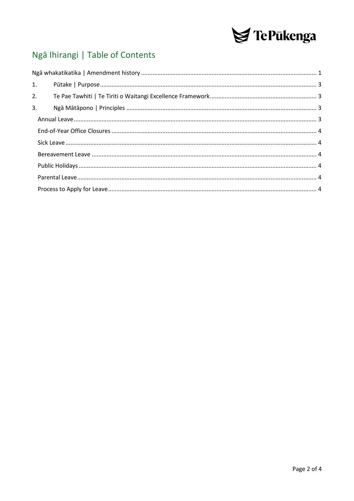

# Ngā Ihirangi | Table of Contents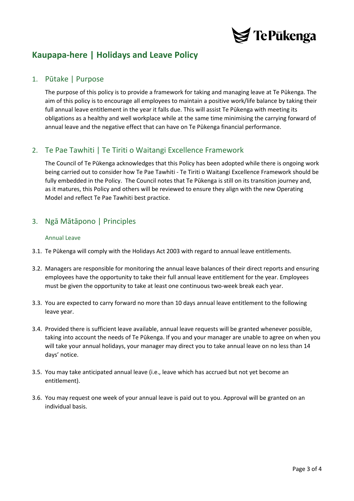

# **Kaupapa-here | Holidays and Leave Policy**

## <span id="page-2-0"></span>1. Pūtake | Purpose

The purpose of this policy is to provide a framework for taking and managing leave at Te Pūkenga. The aim of this policy is to encourage all employees to maintain a positive work/life balance by taking their full annual leave entitlement in the year it falls due. This will assist Te Pūkenga with meeting its obligations as a healthy and well workplace while at the same time minimising the carrying forward of annual leave and the negative effect that can have on Te Pūkenga financial performance.

## <span id="page-2-1"></span>2. Te Pae Tawhiti | Te Tiriti o Waitangi Excellence Framework

The Council of Te Pūkenga acknowledges that this Policy has been adopted while there is ongoing work being carried out to consider how Te Pae Tawhiti - Te Tiriti o Waitangi Excellence Framework should be fully embedded in the Policy. The Council notes that Te Pūkenga is still on its transition journey and, as it matures, this Policy and others will be reviewed to ensure they align with the new Operating Model and reflect Te Pae Tawhiti best practice.

## <span id="page-2-3"></span><span id="page-2-2"></span>3. Ngā Mātāpono | Principles

## Annual Leave

- 3.1. Te Pūkenga will comply with the Holidays Act 2003 with regard to annual leave entitlements.
- 3.2. Managers are responsible for monitoring the annual leave balances of their direct reports and ensuring employees have the opportunity to take their full annual leave entitlement for the year. Employees must be given the opportunity to take at least one continuous two-week break each year.
- 3.3. You are expected to carry forward no more than 10 days annual leave entitlement to the following leave year.
- 3.4. Provided there is sufficient leave available, annual leave requests will be granted whenever possible, taking into account the needs of Te Pūkenga. If you and your manager are unable to agree on when you will take your annual holidays, your manager may direct you to take annual leave on no less than 14 days' notice.
- 3.5. You may take anticipated annual leave (i.e., leave which has accrued but not yet become an entitlement).
- 3.6. You may request one week of your annual leave is paid out to you. Approval will be granted on an individual basis.